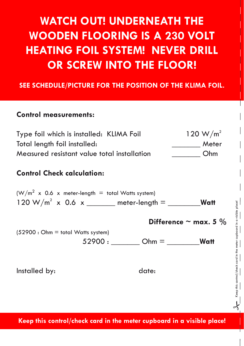# **WATCH OUT! UNDERNEATH THE WOODEN FLOORING IS A 230 VOLT HEATING FOIL SYSTEM! NEVER DRILL OR SCREW INTO THE FLOOR!**

# **SEE SCHEDULE/PICTURE FOR THE POSITION OF THE KLIMA FOIL.**

# **Control measurements:**

| Type foil which is installed: KLIMA Foil    | 120 W/ $m^2$ |
|---------------------------------------------|--------------|
| Total length foil installed:                | Meter        |
| Measured resistant value total installation | Ohm          |

# **Control Check calculation:**

 $(52900:Ohm = total Watts system)$ 

 $(W/m^2 \times 0.6 \times$  meter-length = total Watts system)  $120 \text{ W/m}^2 \times 0.6 \times$  \_\_\_\_\_\_\_ meter-length = \_\_\_\_\_\_\_\_\_Watt

**Difference ~ max. 5 %**

52900 : \_\_\_\_\_\_\_ Ohm = **\_\_\_\_\_\_\_\_Watt**

Installed by: date:

**Keep this control/check card in the meter cupboard in a visible place!**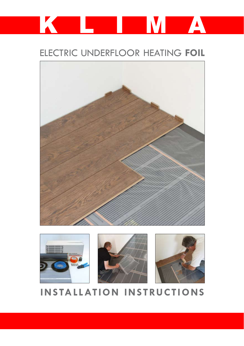# ELECTRIC UNDERFLOOR HEATING FOIL

**THE METHOD AND** 

K E E





# **INSTALLATION INSTRUCTIONS**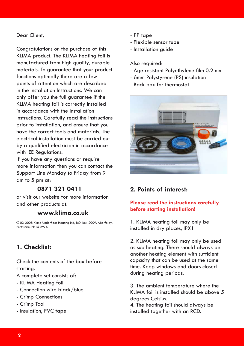#### Dear Client,

Congratulations on the purchase of this KLIMA product. The KLIMA heating foil is manufactured from high quality, durable materials. To guarantee that your product functions optimally there are a few points of attention which are described in the Installation Instructions. We can only offer you the full guarantee if the KLIMA heating foil is correctly installed in accordance with the Installation Instructions. Carefully read the instructions prior to installation, and ensure that you have the correct tools and materials. The electrical installation must be carried out by a qualified electrician in accordance with IEE Regulations.

If you have any questions or require more information then you can contact the Support Line Monday to Friday from 9 am to 5 pm at:

### **0871 321 0411**

or visit our website for more information and other products at:

#### **www.klima.co.uk**

© 03-2008 Klima Underfloor Heating Ltd, P.O. Box 2009, Aberfeldy, Perthshire, PH15 2WB.

# **1. Checklist:**

Check the contents of the box before starting.

A complete set consists of:

- KLIMA Heating foil
- Connection wire black/blue
- Crimp Connections
- Crimp Tool
- Insulation, PVC tape
- PP tape
- Flexible sensor tube
- Installation guide

Also required:

- Age resistant Polyethylene film 0.2 mm
- 6mm Polystyrene (PS) insulation
- Back box for thermostat



# **2. Points of interest:**

#### **Please read the instructions carefully before starting installation!**

1. KLIMA heating foil may only be installed in dry places, IPX1

2. KLIMA heating foil may only be used as sub heating. There should always be another heating element with sufficient capacity that can be used at the same time. Keep windows and doors closed during heating periods.

3. The ambient temperature where the KLIMA foil is installed should be above 5 degrees Celsius.

4. The heating foil should always be installed together with an RCD.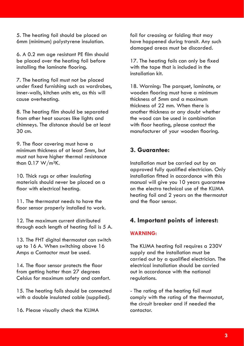5. The heating foil should be placed on 6mm (minimum) polystyrene insulation.

6. A 0.2 mm age resistant PE film should be placed over the heating foil before installing the laminate flooring.

7. The heating foil must not be placed under fixed furnishing such as wardrobes, inner-walls, kitchen units etc, as this will cause overheating.

8. The heating film should be separated from other heat sources like lights and chimneys. The distance should be at least 30 cm.

9. The floor covering must have a minimum thickness of at least 5mm, but must not have higher thermal resistance than  $0.17 W/m^2K$ .

10. Thick rugs or other insulating materials should never be placed on a floor with electrical heating.

11. The thermostat needs to have the floor sensor properly installed to work.

12. The maximum current distributed through each length of heating foil is 5 A.

13. The FHT digital thermostat can switch up to 16 A. When switching above 16 Amps a Contactor must be used.

14. The floor sensor protects the floor from getting hotter than 27 degrees Celsius for maximum safety and comfort.

15. The heating foils should be connected with a double insulated cable (supplied).

16. Please visually check the KLIMA

foil for creasing or folding that may have happened during transit. Any such damaged areas must be discarded.

17. The heating foils can only be fixed with the tape that is included in the installation kit.

18. Warning: The parquet, laminate, or wooden flooring must have a minimum thickness of 5mm and a maximum thickness of 22 mm. When there is another thickness or any doubt whether the wood can be used in combination with floor heating, please contact the manufacturer of your wooden flooring.

#### **3. Guarantee:**

Installation must be carried out by an approved fully qualified electrician. Only installation fitted in accordance with this manual will give you 10 years guarantee on the electro technical use of the KLIMA heating foil and 2 years on the thermostat and the floor sensor.

#### **4. Important points of interest:**

#### **WARNING:**

The KLIMA heating foil requires a 230V supply and the installation must be carried out by a qualified electrician. The electrical installation should be carried out in accordance with the national regulations.

- The rating of the heating foil must comply with the rating of the thermostat, the circuit breaker and if needed the contactor.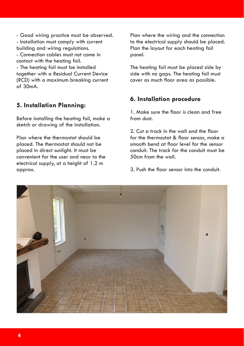- Good wiring practice must be observed. - Installation must comply with current building and wiring regulations. - Connection cables must not come in contact with the heating foil.

- The heating foil must be installed together with a Residual Current Device (RCD) with a maximum breaking current of 30mA.

# **5. Installation Planning:**

Before installing the heating foil, make a sketch or drawing of the installation.

Plan where the thermostat should be placed. The thermostat should not be placed in direct sunlight. It must be convenient for the user and near to the electrical supply, at a height of 1.2 m approx.

Plan where the wiring and the connection to the electrical supply should be placed. Plan the layout for each heating foil panel.

The heating foil must be placed side by side with no gaps. The heating foil must cover as much floor area as possible.

# **6. Installation procedure**

1. Make sure the floor is clean and free from dust.

2. Cut a track in the wall and the floor for the thermostat & floor sensor, make a smooth bend at floor level for the sensor conduit. The track for the conduit must be 50cm from the wall.

3. Push the floor sensor into the conduit.

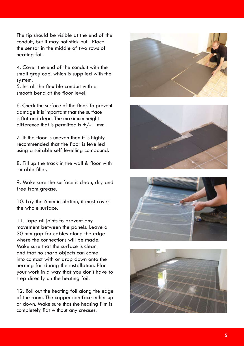The tip should be visible at the end of the conduit, but it may not stick out. Place the sensor in the middle of two rows of heating foil.

4. Cover the end of the conduit with the small grey cap, which is supplied with the system.

5. Install the flexible conduit with a smooth bend at the floor level.

6. Check the surface of the floor. To prevent damage it is important that the surface is flat and clean. The maximum height difference that is permitted is  $+/-1$  mm.

7. If the floor is uneven then it is highly recommended that the floor is levelled using a suitable self levelling compound.

8. Fill up the track in the wall & floor with suitable filler.

9. Make sure the surface is clean, dry and free from arease.

10. Lay the 6mm insulation, it must cover the whole surface.

11. Tape all joints to prevent any movement between the panels. Leave a 30 mm gap for cables along the edge where the connections will be made. Make sure that the surface is clean and that no sharp objects can come into contact with or drop down onto the heating foil during the installation. Plan your work in a way that you don't have to step directly on the heating foil.

12. Roll out the heating foil along the edge of the room. The copper can face either up or down. Make sure that the heating film is completely flat without any creases.







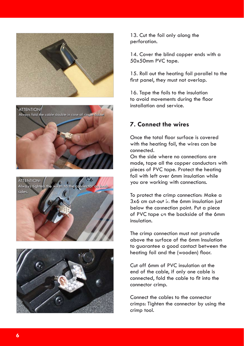







13. Cut the foil only along the perforation.

14. Cover the blind copper ends with a 50x50mm PVC tape.

15. Roll out the heating foil parallel to the first panel, they must not overlap.

16. Tape the foils to the insulation to avoid movements during the floor installation and service.

### **7. Connect the wires**

Once the total floor surface is covered with the heating foil, the wires can be connected.

On the side where no connections are made, tape all the copper conductors with pieces of PVC tape. Protect the heating foil with left over 6mm insulation while you are working with connections.

To protect the crimp connection: Make a 3x6 cm cut-out in the 6mm insulation just below the connection point. Put a piece of PVC tape on the backside of the 6mm insulation.

The crimp connection must not protrude above the surface of the 6mm Insulation to guarantee a good contact between the heating foil and the (wooden) floor.

Cut off 6mm of PVC insulation at the end of the cable, if only one cable is connected, fold the cable to fit into the connector crimp.

Connect the cables to the connector crimps: Tighten the connector by using the crimp tool.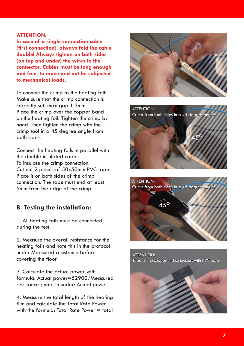#### **ATTENTION:**

**In case of a single connection cable (first connection), always fold the cable double! Always tighten on both sides (on top and under) the wires to the connector. Cables must be long enough and free to move and not be subjected to mechanical loads.**

To connect the crimp to the heating foil: Make sure that the crimp connection is correctly set, max gap 1.3mm Place the crimp over the copper band on the heating foil. Tighten the crimp by hand. Then tighten the crimp with the crimp tool in a 45 degree angle from both sides.

Connect the heating foils in parallel with the double insulated cable. To insulate the crimp connection: Cut out 2 pieces of 50x50mm PVC tape. Place it on both sides of the crimp connection. The tape must end at least 5mm from the edge of the crimp.

#### **8. Testing the installation:**

1. All heating foils must be connected during the test.

2. Measure the overall resistance for the heating foils and note this in the protocol under Measured resistance before covering the floor

3. Calculate the actual power with formula: Actual power=52900/Measured resistance ; note in under: Actual power

4. Measure the total length of the heating film and calculate the Total Rate Power with the formula: Total Rate Power  $=$  total







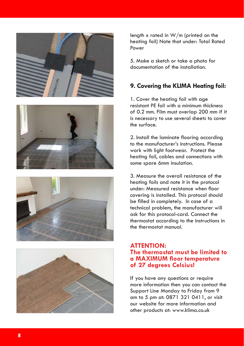







length x rated in W/m (printed on the heating foil) Note that under: Total Rated Power

5. Make a sketch or take a photo for documentation of the installation.

# **9. Covering the KLIMA Heating foil:**

1. Cover the heating foil with age resistant PE foil with a minimum thickness of 0.2 mm. Film must overlap 200 mm if it is necessary to use several sheets to cover the surface.

2. Install the laminate flooring according to the manufacturer's instructions. Please work with light footwear. Protect the heating foil, cables and connections with some spare 6mm insulation.

3. Measure the overall resistance of the heating foils and note it in the protocol under: Measured resistance when floor covering is installed. This protocol should be filled in completely. In case of a technical problem, the manufacturer will ask for this protocol-card. Connect the thermostat according to the instructions in the thermostat manual.

#### **ATTENTION: The thermostat must be limited to a MAXIMUM floor temperature of 27 degrees Celsius!**

If you have any questions or require more information then you can contact the Support Line Monday to Friday from 9 am to 5 pm at: 0871 321 0411, or visit our website for more information and other products at: www.klima.co.uk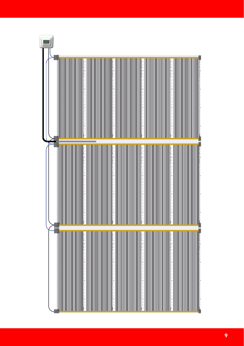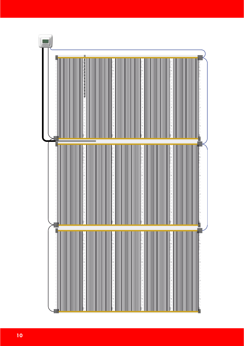